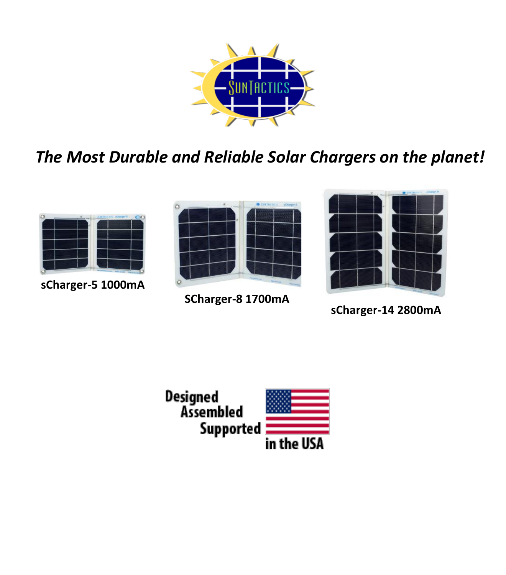

*The Most Durable and Reliable Solar Chargers on the planet!*



**sCharger-5 1000mA**



**SCharger-8 1700mA**



**sCharger-14 2800mA**

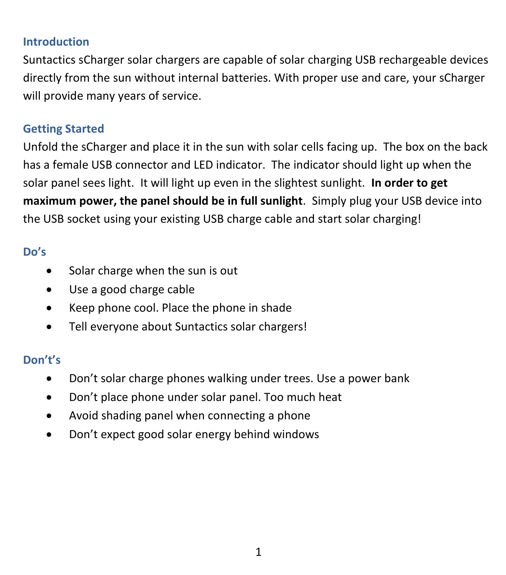## **Introduction**

Suntactics sCharger solar chargers are capable of solar charging USB rechargeable devices directly from the sun without internal batteries. With proper use and care, your sCharger will provide many years of service.

# **Getting Started**

Unfold the sCharger and place it in the sun with solar cells facing up. The box on the back has a female USB connector and LED indicator. The indicator should light up when the solar panel sees light. It will light up even in the slightest sunlight. **In order to get maximum power, the panel should be in full sunlight**. Simply plug your USB device into the USB socket using your existing USB charge cable and start solar charging!

# **Do's**

- Solar charge when the sun is out
- Use a good charge cable
- Keep phone cool. Place the phone in shade
- Tell everyone about Suntactics solar chargers!

# **Don't's**

- Don't solar charge phones walking under trees. Use a power bank
- Don't place phone under solar panel. Too much heat
- Avoid shading panel when connecting a phone
- Don't expect good solar energy behind windows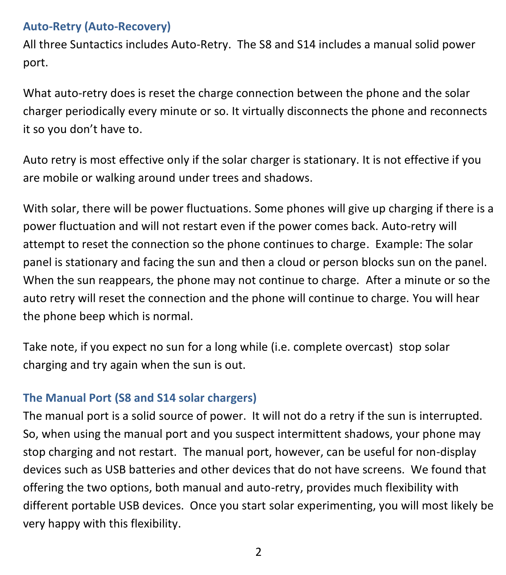# **Auto-Retry (Auto-Recovery)**

All three Suntactics includes Auto-Retry. The S8 and S14 includes a manual solid power port.

What auto-retry does is reset the charge connection between the phone and the solar charger periodically every minute or so. It virtually disconnects the phone and reconnects it so you don't have to.

Auto retry is most effective only if the solar charger is stationary. It is not effective if you are mobile or walking around under trees and shadows.

With solar, there will be power fluctuations. Some phones will give up charging if there is a power fluctuation and will not restart even if the power comes back. Auto-retry will attempt to reset the connection so the phone continues to charge. Example: The solar panel is stationary and facing the sun and then a cloud or person blocks sun on the panel. When the sun reappears, the phone may not continue to charge. After a minute or so the auto retry will reset the connection and the phone will continue to charge. You will hear the phone beep which is normal.

Take note, if you expect no sun for a long while (i.e. complete overcast) stop solar charging and try again when the sun is out.

# **The Manual Port (S8 and S14 solar chargers)**

The manual port is a solid source of power. It will not do a retry if the sun is interrupted. So, when using the manual port and you suspect intermittent shadows, your phone may stop charging and not restart. The manual port, however, can be useful for non-display devices such as USB batteries and other devices that do not have screens. We found that offering the two options, both manual and auto-retry, provides much flexibility with different portable USB devices. Once you start solar experimenting, you will most likely be very happy with this flexibility.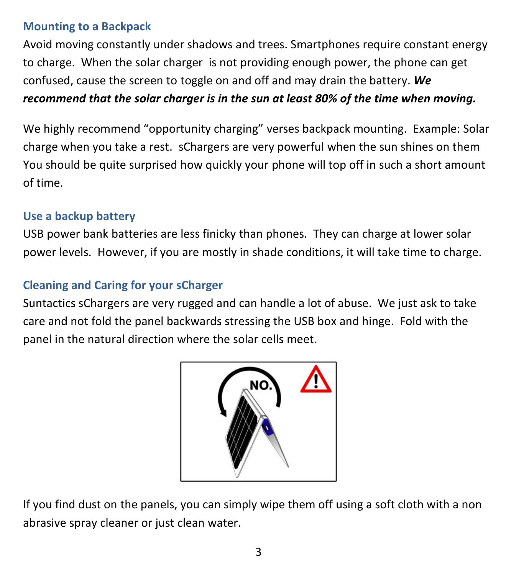## **Mounting to a Backpack**

Avoid moving constantly under shadows and trees. Smartphones require constant energy to charge. When the solar charger is not providing enough power, the phone can get confused, cause the screen to toggle on and off and may drain the battery. *We recommend that the solar charger is in the sun at least 80% of the time when moving.* 

We highly recommend "opportunity charging" verses backpack mounting. Example: Solar charge when you take a rest. sChargers are very powerful when the sun shines on them You should be quite surprised how quickly your phone will top off in such a short amount of time.

## **Use a backup battery**

USB power bank batteries are less finicky than phones. They can charge at lower solar power levels. However, if you are mostly in shade conditions, it will take time to charge.

## **Cleaning and Caring for your sCharger**

Suntactics sChargers are very rugged and can handle a lot of abuse. We just ask to take care and not fold the panel backwards stressing the USB box and hinge. Fold with the panel in the natural direction where the solar cells meet.



If you find dust on the panels, you can simply wipe them off using a soft cloth with a non abrasive spray cleaner or just clean water.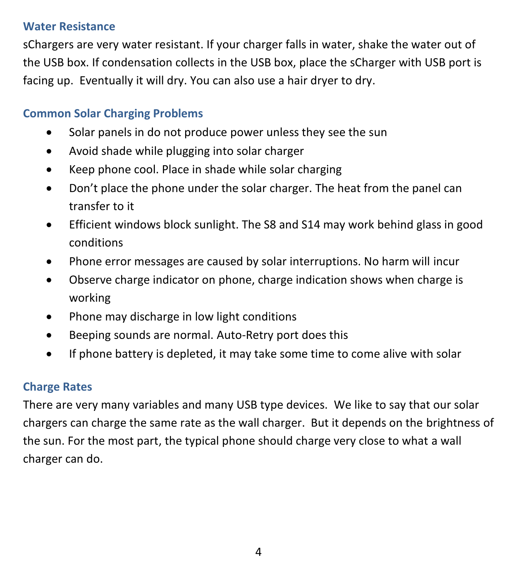### **Water Resistance**

sChargers are very water resistant. If your charger falls in water, shake the water out of the USB box. If condensation collects in the USB box, place the sCharger with USB port is facing up. Eventually it will dry. You can also use a hair dryer to dry.

# **Common Solar Charging Problems**

- Solar panels in do not produce power unless they see the sun
- Avoid shade while plugging into solar charger
- Keep phone cool. Place in shade while solar charging
- Don't place the phone under the solar charger. The heat from the panel can transfer to it
- Efficient windows block sunlight. The S8 and S14 may work behind glass in good conditions
- Phone error messages are caused by solar interruptions. No harm will incur
- Observe charge indicator on phone, charge indication shows when charge is working
- Phone may discharge in low light conditions
- Beeping sounds are normal. Auto-Retry port does this
- If phone battery is depleted, it may take some time to come alive with solar

# **Charge Rates**

There are very many variables and many USB type devices. We like to say that our solar chargers can charge the same rate as the wall charger. But it depends on the brightness of the sun. For the most part, the typical phone should charge very close to what a wall charger can do.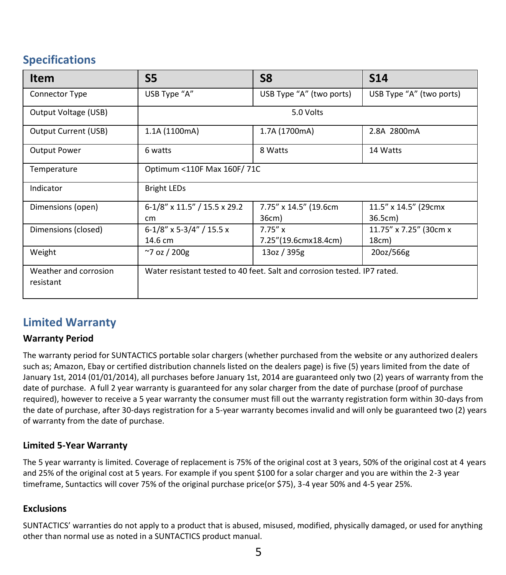# **Specifications**

| Item                               | S <sub>5</sub>                                                           | S8                                 | <b>S14</b>                      |
|------------------------------------|--------------------------------------------------------------------------|------------------------------------|---------------------------------|
| Connector Type                     | USB Type "A"                                                             | USB Type "A" (two ports)           | USB Type "A" (two ports)        |
| Output Voltage (USB)               | 5.0 Volts                                                                |                                    |                                 |
| Output Current (USB)               | 1.1A (1100mA)                                                            | 1.7A (1700mA)                      | 2.8A 2800mA                     |
| <b>Output Power</b>                | 6 watts                                                                  | 8 Watts                            | 14 Watts                        |
| Temperature                        | Optimum <110F Max 160F/71C                                               |                                    |                                 |
| Indicator                          | <b>Bright LEDs</b>                                                       |                                    |                                 |
| Dimensions (open)                  | 6-1/8" x 11.5" / 15.5 x 29.2<br>cm                                       | 7.75" x 14.5" (19.6cm<br>36cm)     | 11.5" x 14.5" (29cmx<br>36.5cm) |
| Dimensions (closed)                | $6-1/8$ " x 5-3/4" / 15.5 x<br>14.6 cm                                   | $7.75''$ x<br>7.25"(19.6cmx18.4cm) | 11.75" x 7.25" (30cm x<br>18cm) |
| Weight                             | $~7$ oz / 200g                                                           | 13oz / 395g                        | 20oz/566g                       |
| Weather and corrosion<br>resistant | Water resistant tested to 40 feet. Salt and corrosion tested. IP7 rated. |                                    |                                 |

### **Limited Warranty**

#### **Warranty Period**

The warranty period for SUNTACTICS portable solar chargers (whether purchased from the website or any authorized dealers such as; Amazon, Ebay or certified distribution channels listed on the dealers page) is five (5) years limited from the date of January 1st, 2014 (01/01/2014), all purchases before January 1st, 2014 are guaranteed only two (2) years of warranty from the date of purchase. A full 2 year warranty is guaranteed for any solar charger from the date of purchase (proof of purchase required), however to receive a 5 year warranty the consumer must fill out the warranty registration form within 30-days from the date of purchase, after 30-days registration for a 5-year warranty becomes invalid and will only be guaranteed two (2) years of warranty from the date of purchase.

#### **Limited 5-Year Warranty**

The 5 year warranty is limited. Coverage of replacement is 75% of the original cost at 3 years, 50% of the original cost at 4 years and 25% of the original cost at 5 years. For example if you spent \$100 for a solar charger and you are within the 2-3 year timeframe, Suntactics will cover 75% of the original purchase price(or \$75), 3-4 year 50% and 4-5 year 25%.

#### **Exclusions**

SUNTACTICS' warranties do not apply to a product that is abused, misused, modified, physically damaged, or used for anything other than normal use as noted in a SUNTACTICS product manual.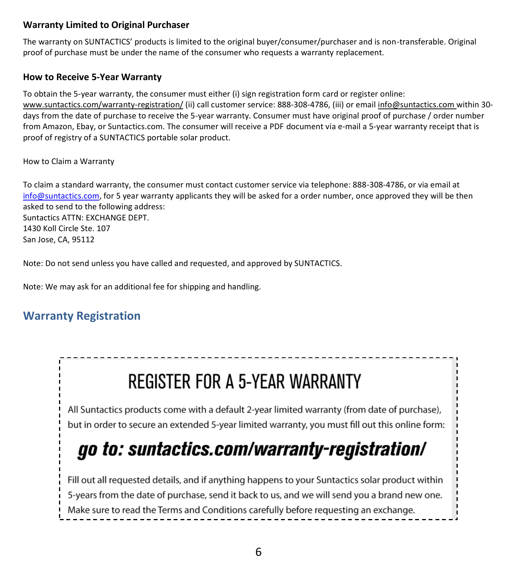#### **Warranty Limited to Original Purchaser**

The warranty on SUNTACTICS' products is limited to the original buyer/consumer/purchaser and is non-transferable. Original proof of purchase must be under the name of the consumer who requests a warranty replacement.

#### **How to Receive 5-Year Warranty**

To obtain the 5-year warranty, the consumer must either (i) sign registration form card or register online: www.suntactics.com/warranty-registration/ (ii) call customer service: 888-308-4786, (iii) or email info@suntactics.com within 30 days from the date of purchase to receive the 5-year warranty. Consumer must have original proof of purchase / order number from Amazon, Ebay, or Suntactics.com. The consumer will receive a PDF document via e-mail a 5-year warranty receipt that is proof of registry of a SUNTACTICS portable solar product.

#### How to Claim a Warranty

To claim a standard warranty, the consumer must contact customer service via telephone: 888-308-4786, or via email at [info@suntactics.com,](mailto:info@suntactics.com) for 5 year warranty applicants they will be asked for a order number, once approved they will be then asked to send to the following address: Suntactics ATTN: EXCHANGE DEPT. 1430 Koll Circle Ste. 107 San Jose, CA, 95112

Note: Do not send unless you have called and requested, and approved by SUNTACTICS.

Note: We may ask for an additional fee for shipping and handling.

## **Warranty Registration**

# **REGISTER FOR A 5-YEAR WARRANTY**

All Suntactics products come with a default 2-year limited warranty (from date of purchase), but in order to secure an extended 5-year limited warranty, you must fill out this online form:

--------------

# go to: suntactics.com/warranty-registration/

Fill out all requested details, and if anything happens to your Suntactics solar product within 5-years from the date of purchase, send it back to us, and we will send you a brand new one. Make sure to read the Terms and Conditions carefully before requesting an exchange.